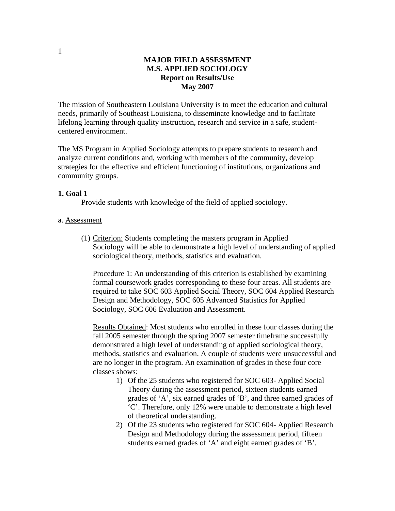### **MAJOR FIELD ASSESSMENT M.S. APPLIED SOCIOLOGY Report on Results/Use May 2007**

The mission of Southeastern Louisiana University is to meet the education and cultural needs, primarily of Southeast Louisiana, to disseminate knowledge and to facilitate lifelong learning through quality instruction, research and service in a safe, studentcentered environment.

The MS Program in Applied Sociology attempts to prepare students to research and analyze current conditions and, working with members of the community, develop strategies for the effective and efficient functioning of institutions, organizations and community groups.

#### **1. Goal 1**

Provide students with knowledge of the field of applied sociology.

### a. Assessment

(1) Criterion: Students completing the masters program in Applied Sociology will be able to demonstrate a high level of understanding of applied sociological theory, methods, statistics and evaluation.

Procedure 1: An understanding of this criterion is established by examining formal coursework grades corresponding to these four areas. All students are required to take SOC 603 Applied Social Theory, SOC 604 Applied Research Design and Methodology, SOC 605 Advanced Statistics for Applied Sociology, SOC 606 Evaluation and Assessment.

Results Obtained: Most students who enrolled in these four classes during the fall 2005 semester through the spring 2007 semester timeframe successfully demonstrated a high level of understanding of applied sociological theory, methods, statistics and evaluation. A couple of students were unsuccessful and are no longer in the program. An examination of grades in these four core classes shows:

- 1) Of the 25 students who registered for SOC 603- Applied Social Theory during the assessment period, sixteen students earned grades of 'A', six earned grades of 'B', and three earned grades of 'C'. Therefore, only 12% were unable to demonstrate a high level of theoretical understanding.
- 2) Of the 23 students who registered for SOC 604- Applied Research Design and Methodology during the assessment period, fifteen students earned grades of 'A' and eight earned grades of 'B'.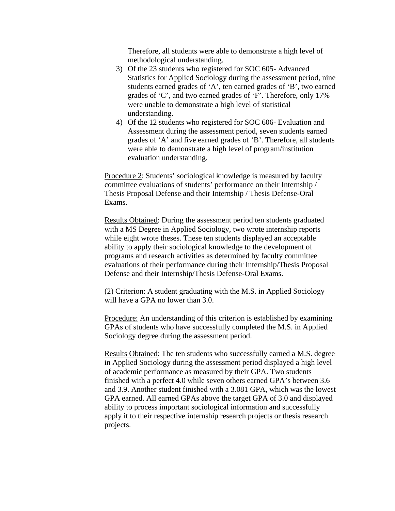Therefore, all students were able to demonstrate a high level of methodological understanding.

- 3) Of the 23 students who registered for SOC 605- Advanced Statistics for Applied Sociology during the assessment period, nine students earned grades of 'A', ten earned grades of 'B', two earned grades of 'C', and two earned grades of 'F'. Therefore, only 17% were unable to demonstrate a high level of statistical understanding.
- 4) Of the 12 students who registered for SOC 606- Evaluation and Assessment during the assessment period, seven students earned grades of 'A' and five earned grades of 'B'. Therefore, all students were able to demonstrate a high level of program/institution evaluation understanding.

Procedure 2: Students' sociological knowledge is measured by faculty committee evaluations of students' performance on their Internship / Thesis Proposal Defense and their Internship / Thesis Defense-Oral Exams.

Results Obtained: During the assessment period ten students graduated with a MS Degree in Applied Sociology, two wrote internship reports while eight wrote theses. These ten students displayed an acceptable ability to apply their sociological knowledge to the development of programs and research activities as determined by faculty committee evaluations of their performance during their Internship/Thesis Proposal Defense and their Internship/Thesis Defense-Oral Exams.

(2) Criterion: A student graduating with the M.S. in Applied Sociology will have a GPA no lower than 3.0.

Procedure: An understanding of this criterion is established by examining GPAs of students who have successfully completed the M.S. in Applied Sociology degree during the assessment period.

Results Obtained: The ten students who successfully earned a M.S. degree in Applied Sociology during the assessment period displayed a high level of academic performance as measured by their GPA. Two students finished with a perfect 4.0 while seven others earned GPA's between 3.6 and 3.9. Another student finished with a 3.081 GPA, which was the lowest GPA earned. All earned GPAs above the target GPA of 3.0 and displayed ability to process important sociological information and successfully apply it to their respective internship research projects or thesis research projects.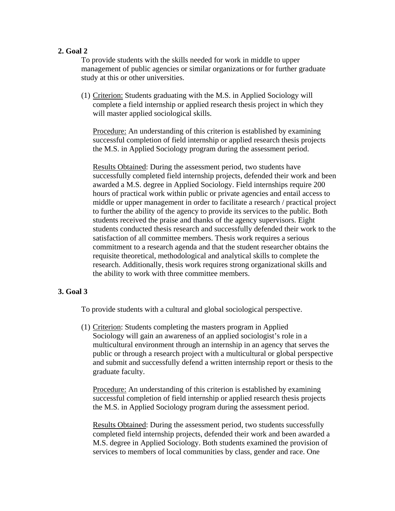## **2. Goal 2**

To provide students with the skills needed for work in middle to upper management of public agencies or similar organizations or for further graduate study at this or other universities.

(1) Criterion: Students graduating with the M.S. in Applied Sociology will complete a field internship or applied research thesis project in which they will master applied sociological skills.

Procedure: An understanding of this criterion is established by examining successful completion of field internship or applied research thesis projects the M.S. in Applied Sociology program during the assessment period.

Results Obtained: During the assessment period, two students have successfully completed field internship projects, defended their work and been awarded a M.S. degree in Applied Sociology. Field internships require 200 hours of practical work within public or private agencies and entail access to middle or upper management in order to facilitate a research / practical project to further the ability of the agency to provide its services to the public. Both students received the praise and thanks of the agency supervisors. Eight students conducted thesis research and successfully defended their work to the satisfaction of all committee members. Thesis work requires a serious commitment to a research agenda and that the student researcher obtains the requisite theoretical, methodological and analytical skills to complete the research. Additionally, thesis work requires strong organizational skills and the ability to work with three committee members.

# **3. Goal 3**

To provide students with a cultural and global sociological perspective.

(1) Criterion: Students completing the masters program in Applied Sociology will gain an awareness of an applied sociologist's role in a multicultural environment through an internship in an agency that serves the public or through a research project with a multicultural or global perspective and submit and successfully defend a written internship report or thesis to the graduate faculty.

Procedure: An understanding of this criterion is established by examining successful completion of field internship or applied research thesis projects the M.S. in Applied Sociology program during the assessment period.

Results Obtained: During the assessment period, two students successfully completed field internship projects, defended their work and been awarded a M.S. degree in Applied Sociology. Both students examined the provision of services to members of local communities by class, gender and race. One